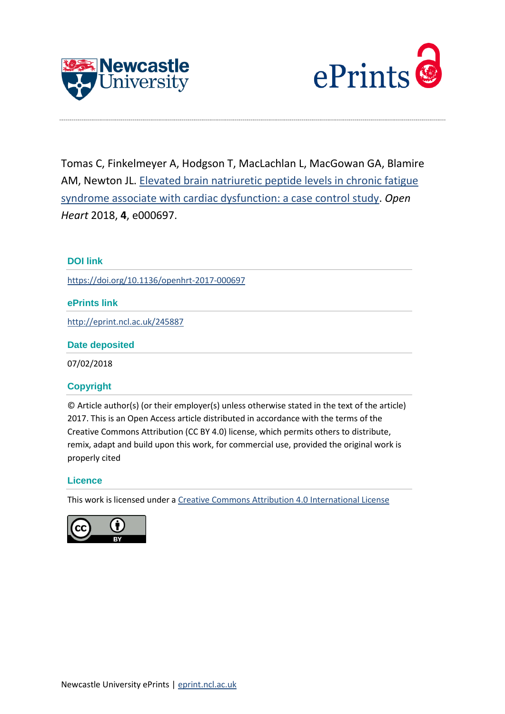



Tomas C, Finkelmeyer A, Hodgson T, MacLachlan L, MacGowan GA, Blamire AM, Newton JL. [Elevated brain natriuretic peptide levels in chronic fatigue](http://eprint.ncl.ac.uk/pub_details2.aspx?pub_id=245887)  [syndrome associate with cardiac dysfunction: a case control study.](http://eprint.ncl.ac.uk/pub_details2.aspx?pub_id=245887) *Open Heart* 2018, **4**, e000697.

# **DOI link**

<https://doi.org/10.1136/openhrt-2017-000697>

# **ePrints link**

<http://eprint.ncl.ac.uk/245887>

# **Date deposited**

07/02/2018

# **Copyright**

© Article author(s) (or their employer(s) unless otherwise stated in the text of the article) 2017. This is an Open Access article distributed in accordance with the terms of the Creative Commons Attribution (CC BY 4.0) license, which permits others to distribute, remix, adapt and build upon this work, for commercial use, provided the original work is properly cited

# **Licence**

This work is licensed under a [Creative Commons Attribution 4.0 International License](http://creativecommons.org/licenses/by/4.0/)

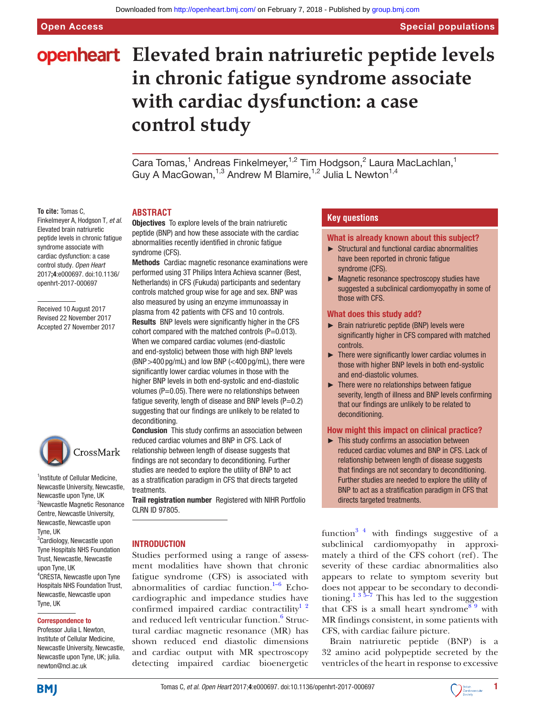# **openheart** Elevated brain natriuretic peptide levels **in chronic fatigue syndrome associate with cardiac dysfunction: a case control study**

Cara Tomas,<sup>1</sup> Andreas Finkelmeyer,<sup>1,2</sup> Tim Hodgson,<sup>2</sup> Laura MacLachlan,<sup>1</sup> Guy A MacGowan,<sup>1,3</sup> Andrew M Blamire,<sup>1,2</sup> Julia L Newton<sup>1,4</sup>

**To cite:** Tomas C,

Finkelmeyer A, Hodgson T*, et al*. Elevated brain natriuretic peptide levels in chronic fatigue syndrome associate with cardiac dysfunction: a case control study*. Open Heart* 2017;4:e000697. doi:10.1136/ openhrt-2017-000697

Received 10 August 2017 Revised 22 November 2017 Accepted 27 November 2017



<sup>1</sup> Institute of Cellular Medicine, Newcastle University, Newcastle, Newcastle upon Tyne, UK <sup>2</sup>Newcastle Magnetic Resonance Centre, Newcastle University, Newcastle, Newcastle upon Tyne, UK <sup>3</sup> Cardiology, Newcastle upon Tyne Hospitals NHS Foundation Trust, Newcastle, Newcastle upon Tyne, UK 4 CRESTA, Newcastle upon Tyne Hospitals NHS Foundation Trust, Newcastle, Newcastle upon Tyne, UK

#### Correspondence to

Professor Julia L Newton, Institute of Cellular Medicine, Newcastle University, Newcastle, Newcastle upon Tyne, UK; julia. newton@ncl.ac.uk

#### **Abstract**

Objectives To explore levels of the brain natriuretic peptide (BNP) and how these associate with the cardiac abnormalities recently identified in chronic fatigue syndrome (CFS).

Methods Cardiac magnetic resonance examinations were performed using 3T Philips Intera Achieva scanner (Best, Netherlands) in CFS (Fukuda) participants and sedentary controls matched group wise for age and sex. BNP was also measured by using an enzyme immunoassay in plasma from 42 patients with CFS and 10 controls. Results BNP levels were significantly higher in the CFS cohort compared with the matched controls  $(P=0.013)$ . When we compared cardiac volumes (end-diastolic and end-systolic) between those with high BNP levels  $(BNP > 400 \text{ pq/mL})$  and low BNP (<400 pg/mL), there were significantly lower cardiac volumes in those with the higher BNP levels in both end-systolic and end-diastolic volumes ( $P=0.05$ ). There were no relationships between fatigue severity, length of disease and BNP levels  $(P=0.2)$ suggesting that our findings are unlikely to be related to deconditioning.

Conclusion This study confirms an association between reduced cardiac volumes and BNP in CFS. Lack of relationship between length of disease suggests that findings are not secondary to deconditioning. Further studies are needed to explore the utility of BNP to act as a stratification paradigm in CFS that directs targeted treatments.

Trail registration number Registered with NIHR Portfolio CLRN ID 97805.

#### **INTRODUCTION**

Studies performed using a range of assessment modalities have shown that chronic fatigue syndrome (CFS) is associated with abnormalities of cardiac function. $1-6$  Echocardiographic and impedance studies have confirmed impaired cardiac contractility<sup>1</sup><sup>2</sup> and reduced left ventricular function.<sup>[6](#page-4-1)</sup> Structural cardiac magnetic resonance (MR) has shown reduced end diastolic dimensions and cardiac output with MR spectroscopy detecting impaired cardiac bioenergetic

### **Key questions**

#### What is already known about this subject?

- ► Structural and functional cardiac abnormalities have been reported in chronic fatigue syndrome (CFS).
- ► Magnetic resonance spectroscopy studies have suggested a subclinical cardiomyopathy in some of those with CFS.

#### What does this study add?

- ► Brain natriuretic peptide (BNP) levels were significantly higher in CFS compared with matched controls.
- ► There were significantly lower cardiac volumes in those with higher BNP levels in both end-systolic and end-diastolic volumes.
- ► There were no relationships between fatigue severity, length of illness and BNP levels confirming that our findings are unlikely to be related to deconditioning.

#### How might this impact on clinical practice?

► This study confirms an association between reduced cardiac volumes and BNP in CFS. Lack of relationship between length of disease suggests that findings are not secondary to deconditioning. Further studies are needed to explore the utility of BNP to act as a stratification paradigm in CFS that directs targeted treatments.

function<sup>34</sup> with findings suggestive of a subclinical cardiomyopathy in approximately a third of the CFS cohort (ref). The severity of these cardiac abnormalities also appears to relate to symptom severity but does not appear to be secondary to decondi-tioning.<sup>[1 3 5–7](#page-4-0)</sup> This has led to the suggestion that CFS is a small heart syndrome<sup>89</sup> with MR findings consistent, in some patients with CFS, with cardiac failure picture.

Brain natriuretic peptide (BNP) is a 32 amino acid polypeptide secreted by the ventricles of the heart in response to excessive

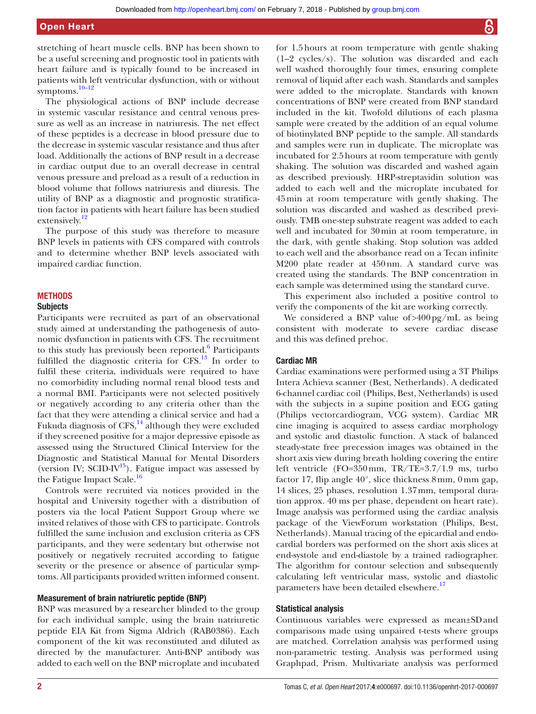stretching of heart muscle cells. BNP has been shown to be a useful screening and prognostic tool in patients with heart failure and is typically found to be increased in patients with left ventricular dysfunction, with or without symptoms[.10–12](#page-4-4)

The physiological actions of BNP include decrease in systemic vascular resistance and central venous pressure as well as an increase in natriuresis. The net effect of these peptides is a decrease in blood pressure due to the decrease in systemic vascular resistance and thus after load. Additionally the actions of BNP result in a decrease in cardiac output due to an overall decrease in central venous pressure and preload as a result of a reduction in blood volume that follows natriuresis and diuresis. The utility of BNP as a diagnostic and prognostic stratification factor in patients with heart failure has been studied extensively.<sup>12</sup>

The purpose of this study was therefore to measure BNP levels in patients with CFS compared with controls and to determine whether BNP levels associated with impaired cardiac function.

#### **METHODS**

#### **Subjects**

Participants were recruited as part of an observational study aimed at understanding the pathogenesis of autonomic dysfunction in patients with CFS. The recruitment to this study has previously been reported.<sup>[6](#page-4-1)</sup> Participants fulfilled the diagnostic criteria for CFS.<sup>[13](#page-4-6)</sup> In order to fulfil these criteria, individuals were required to have no comorbidity including normal renal blood tests and a normal BMI. Participants were not selected positively or negatively according to any criteria other than the fact that they were attending a clinical service and had a Fukuda diagnosis of CFS, $^{14}$  although they were excluded if they screened positive for a major depressive episode as assessed using the Structured Clinical Interview for the Diagnostic and Statistical Manual for Mental Disorders (version IV; SCID-IV<sup>15</sup>). Fatigue impact was assessed by the Fatigue Impact Scale.<sup>[16](#page-4-9)</sup>

Controls were recruited via notices provided in the hospital and University together with a distribution of posters via the local Patient Support Group where we invited relatives of those with CFS to participate. Controls fulfilled the same inclusion and exclusion criteria as CFS participants, and they were sedentary but otherwise not positively or negatively recruited according to fatigue severity or the presence or absence of particular symptoms. All participants provided written informed consent.

#### Measurement of brain natriuretic peptide (BNP)

BNP was measured by a researcher blinded to the group for each individual sample, using the brain natriuretic peptide EIA Kit from Sigma Aldrich (RAB0386). Each component of the kit was reconstituted and diluted as directed by the manufacturer. Anti-BNP antibody was added to each well on the BNP microplate and incubated

for 1.5hours at room temperature with gentle shaking (1–2 cycles/s). The solution was discarded and each well washed thoroughly four times, ensuring complete removal of liquid after each wash. Standards and samples were added to the microplate. Standards with known concentrations of BNP were created from BNP standard included in the kit. Twofold dilutions of each plasma sample were created by the addition of an equal volume of biotinylated BNP peptide to the sample. All standards and samples were run in duplicate. The microplate was incubated for 2.5hours at room temperature with gently shaking. The solution was discarded and washed again as described previously. HRP-streptavidin solution was added to each well and the microplate incubated for 45min at room temperature with gently shaking. The solution was discarded and washed as described previously. TMB one-step substrate reagent was added to each well and incubated for 30min at room temperature, in the dark, with gentle shaking. Stop solution was added to each well and the absorbance read on a Tecan infinite M200 plate reader at 450nm. A standard curve was created using the standards. The BNP concentration in each sample was determined using the standard curve.

This experiment also included a positive control to verify the components of the kit are working correctly.

We considered a BNP value of>400pg/mL as being consistent with moderate to severe cardiac disease and this was defined prehoc.

#### Cardiac MR

Cardiac examinations were performed using a 3T Philips Intera Achieva scanner (Best, Netherlands). A dedicated 6-channel cardiac coil (Philips, Best, Netherlands) is used with the subjects in a supine position and ECG gating (Philips vectorcardiogram, VCG system). Cardiac MR cine imaging is acquired to assess cardiac morphology and systolic and diastolic function. A stack of balanced steady-state free precession images was obtained in the short axis view during breath holding covering the entire left ventricle (FO=350mm, TR/TE=3.7/1.9 ms, turbo factor 17, flip angle 40°, slice thickness 8mm, 0mm gap, 14 slices, 25 phases, resolution 1.37mm, temporal duration approx. 40 ms per phase, dependent on heart rate). Image analysis was performed using the cardiac analysis package of the ViewForum workstation (Philips, Best, Netherlands). Manual tracing of the epicardial and endocardial borders was performed on the short axis slices at end-systole and end-diastole by a trained radiographer. The algorithm for contour selection and subsequently calculating left ventricular mass, systolic and diastolic parameters have been detailed elsewhere.<sup>17</sup>

#### Statistical analysis

Continuous variables were expressed as mean±SDand comparisons made using unpaired t-tests where groups are matched. Correlation analysis was performed using non-parametric testing. Analysis was performed using Graphpad, Prism. Multivariate analysis was performed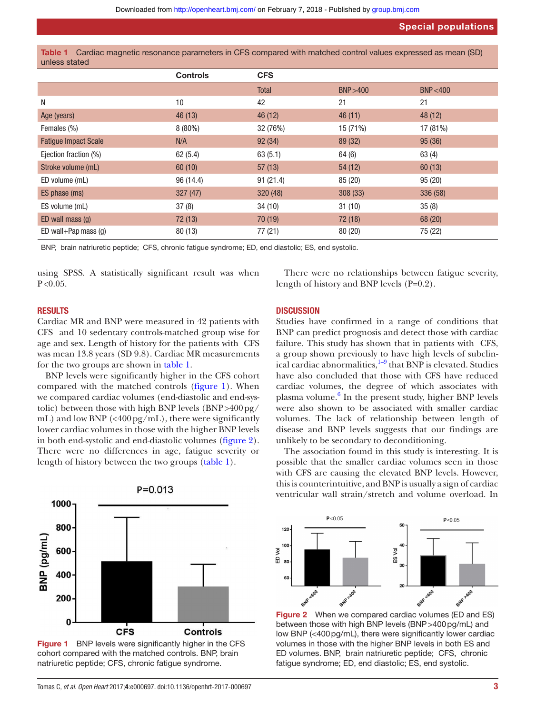Special populations

<span id="page-3-0"></span>Table 1 Cardiac magnetic resonance parameters in CFS compared with matched control values expressed as mean (SD) unless stated

|                             | <b>Controls</b> | <b>CFS</b>   |           |           |
|-----------------------------|-----------------|--------------|-----------|-----------|
|                             |                 | <b>Total</b> | BNP > 400 | BNP < 400 |
| N                           | 10              | 42           | 21        | 21        |
| Age (years)                 | 46(13)          | 46(12)       | 46(11)    | 48 (12)   |
| Females (%)                 | $8(80\%)$       | 32 (76%)     | 15 (71%)  | 17 (81%)  |
| <b>Fatigue Impact Scale</b> | N/A             | 92(34)       | 89 (32)   | 95(36)    |
| Ejection fraction (%)       | 62(5.4)         | 63(5.1)      | 64(6)     | 63(4)     |
| Stroke volume (mL)          | 60(10)          | 57(13)       | 54(12)    | 60(13)    |
| ED volume (mL)              | 96 (14.4)       | 91(21.4)     | 85(20)    | 95(20)    |
| ES phase (ms)               | 327(47)         | 320(48)      | 308(33)   | 336 (58)  |
| ES volume (mL)              | 37(8)           | 34(10)       | 31(10)    | 35(8)     |
| ED wall mass $(q)$          | 72(13)          | 70 (19)      | 72 (18)   | 68 (20)   |
| ED wall+Pap mass (g)        | 80(13)          | 77 (21)      | 80(20)    | 75 (22)   |

BNP, brain natriuretic peptide; CFS, chronic fatigue syndrome; ED, end diastolic; ES, end systolic.

using SPSS. A statistically significant result was when  $P < 0.05$ .

There were no relationships between fatigue severity, length of history and BNP levels (P=0.2).

#### **RESULTS**

Cardiac MR and BNP were measured in 42 patients with CFS and 10 sedentary controls-matched group wise for age and sex. Length of history for the patients with CFS was mean 13.8 years (SD 9.8). Cardiac MR measurements for the two groups are shown in [table](#page-3-0) 1.

BNP levels were significantly higher in the CFS cohort compared with the matched controls [\(figure](#page-3-1) 1). When we compared cardiac volumes (end-diastolic and end-systolic) between those with high BNP levels  $(BNP > 400pg/$ mL) and low BNP ( $\langle 400 \,\text{pg/mL} \rangle$ , there were significantly lower cardiac volumes in those with the higher BNP levels in both end-systolic and end-diastolic volumes ([figure](#page-3-2) 2). There were no differences in age, fatigue severity or length of history between the two groups [\(table](#page-3-0) 1).



<span id="page-3-1"></span>

**DISCUSSION** 

Studies have confirmed in a range of conditions that BNP can predict prognosis and detect those with cardiac failure. This study has shown that in patients with CFS, a group shown previously to have high levels of subclinical cardiac abnormalities, $1-9$  that BNP is elevated. Studies have also concluded that those with CFS have reduced cardiac volumes, the degree of which associates with plasma volume.<sup>[6](#page-4-1)</sup> In the present study, higher BNP levels were also shown to be associated with smaller cardiac volumes. The lack of relationship between length of disease and BNP levels suggests that our findings are unlikely to be secondary to deconditioning.

The association found in this study is interesting. It is possible that the smaller cardiac volumes seen in those with CFS are causing the elevated BNP levels. However, this is counterintuitive, and BNP is usually a sign of cardiac ventricular wall strain/stretch and volume overload. In



<span id="page-3-2"></span>Figure 2 When we compared cardiac volumes (ED and ES) between those with high BNP levels (BNP>400pg/mL) and low BNP (<400 pg/mL), there were significantly lower cardiac volumes in those with the higher BNP levels in both ES and ED volumes. BNP, brain natriuretic peptide; CFS, chronic fatigue syndrome; ED, end diastolic; ES, end systolic.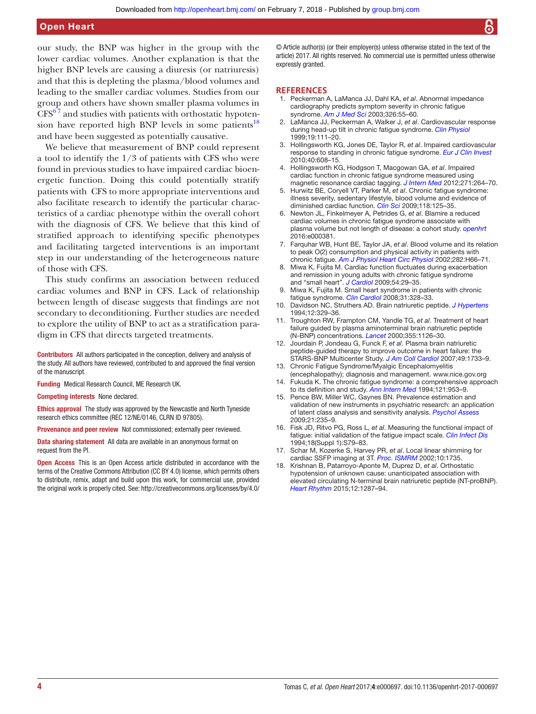our study, the BNP was higher in the group with the lower cardiac volumes. Another explanation is that the higher BNP levels are causing a diuresis (or natriuresis) and that this is depleting the plasma/blood volumes and leading to the smaller cardiac volumes. Studies from our group and others have shown smaller plasma volumes in  $CFS<sup>67</sup>$  and studies with patients with orthostatic hypotension have reported high BNP levels in some patients<sup>18</sup> and have been suggested as potentially causative.

We believe that measurement of BNP could represent a tool to identify the 1/3 of patients with CFS who were found in previous studies to have impaired cardiac bioenergetic function. Doing this could potentially stratify patients with CFS to more appropriate interventions and also facilitate research to identify the particular characteristics of a cardiac phenotype within the overall cohort with the diagnosis of CFS. We believe that this kind of stratified approach to identifying specific phenotypes and facilitating targeted interventions is an important step in our understanding of the heterogeneous nature of those with CFS.

This study confirms an association between reduced cardiac volumes and BNP in CFS. Lack of relationship between length of disease suggests that findings are not secondary to deconditioning. Further studies are needed to explore the utility of BNP to act as a stratification paradigm in CFS that directs targeted treatments.

Contributors All authors participated in the conception, delivery and analysis of the study. All authors have reviewed, contributed to and approved the final version of the manuscript.

Funding Medical Research Council, ME Research UK.

Competing interests None declared.

Ethics approval The study was approved by the Newcastle and North Tyneside research ethics committee (REC 12/NE/0146, CLRN ID 97805).

Provenance and peer review Not commissioned; externally peer reviewed.

**Data sharing statement** All data are available in an anonymous format on request from the PI.

**Open Access** This is an Open Access article distributed in accordance with the terms of the Creative Commons Attribution (CC BY 4.0) license, which permits others to distribute, remix, adapt and build upon this work, for commercial use, provided the original work is properly cited. See:<http://creativecommons.org/licenses/by/4.0/>

© Article author(s) (or their employer(s) unless otherwise stated in the text of the article) 2017. All rights reserved. No commercial use is permitted unless otherwise expressly granted.

#### **References**

- <span id="page-4-0"></span>1. Peckerman A, LaManca JJ, Dahl KA, *et al*. Abnormal impedance cardiography predicts symptom severity in chronic fatigue syndrome. *[Am J Med Sci](http://dx.doi.org/10.1097/00000441-200308000-00001)* 2003;326:55–60.
- 2. LaManca JJ, Peckerman A, Walker J, *et al*. Cardiovascular response during head-up tilt in chronic fatigue syndrome. *[Clin Physiol](http://dx.doi.org/10.1046/j.1365-2281.1999.00154.x)* 1999;19:111–20.
- <span id="page-4-2"></span>3. Hollingsworth KG, Jones DE, Taylor R, *et al*. Impaired cardiovascular response to standing in chronic fatigue syndrome. *[Eur J Clin Invest](http://dx.doi.org/10.1111/j.1365-2362.2010.02310.x)* 2010;40:608–15.
- 4. Hollingsworth KG, Hodgson T, Macgowan GA, *et al*. Impaired cardiac function in chronic fatigue syndrome measured using magnetic resonance cardiac tagging. *[J Intern Med](http://dx.doi.org/10.1111/j.1365-2796.2011.02429.x)* 2012;271:264–70.
- 5. Hurwitz BE, Coryell VT, Parker M, *et al*. Chronic fatigue syndrome: illness severity, sedentary lifestyle, blood volume and evidence of diminished cardiac function. *[Clin Sci](http://dx.doi.org/10.1042/CS20090055)* 2009;118:125–35.
- <span id="page-4-1"></span>6. Newton JL, Finkelmeyer A, Petrides G, *et al*. Blamire a reduced cardiac volumes in chronic fatigue syndrome associate with plasma volume but not length of disease: a cohort study. *openhrt* 2016:e000381.
- 7. Farquhar WB, Hunt BE, Taylor JA, *et al*. Blood volume and its relation to peak O(2) consumption and physical activity in patients with chronic fatigue. *Am J Physiol Heart Circ Physiol* 2002;282:H66–71.
- <span id="page-4-3"></span>8. Miwa K, Fujita M. Cardiac function fluctuates during exacerbation and remission in young adults with chronic fatigue syndrome and "small heart". *[J Cardiol](http://dx.doi.org/10.1016/j.jjcc.2009.02.008)* 2009;54:29–35.
- Miwa K, Fujita M. Small heart syndrome in patients with chronic fatigue syndrome. *[Clin Cardiol](http://dx.doi.org/10.1002/clc.20227)* 2008;31:328–33.
- <span id="page-4-4"></span>10. Davidson NC, Struthers AD. Brain natriuretic peptide. *[J Hypertens](http://dx.doi.org/10.1097/00004872-199404000-00001)* 1994;12:329–36.
- 11. Troughton RW, Frampton CM, Yandle TG, *et al*. Treatment of heart failure guided by plasma aminoterminal brain natriuretic peptide (N-BNP) concentrations. *[Lancet](http://dx.doi.org/10.1016/S0140-6736(00)02060-2)* 2000;355:1126–30.
- <span id="page-4-5"></span>12. Jourdain P, Jondeau G, Funck F, *et al*. Plasma brain natriuretic peptide-guided therapy to improve outcome in heart failure: the STARS-BNP Multicenter Study. *[J Am Coll Cardiol](http://dx.doi.org/10.1016/j.jacc.2006.10.081)* 2007;49:1733–9.
- <span id="page-4-6"></span>13. Chronic Fatigue Syndrome/Myalgic Encephalomyelitis (encephalopathy); diagnosis and management.<www.nice.gov.org>
- <span id="page-4-7"></span>14. Fukuda K. The chronic fatigue syndrome: a comprehensive approach to its definition and study. *[Ann Intern Med](http://dx.doi.org/10.7326/0003-4819-121-12-199412150-00009)* 1994;121:953–9.
- <span id="page-4-8"></span>15. Pence BW, Miller WC, Gaynes BN. Prevalence estimation and validation of new instruments in psychiatric research: an application of latent class analysis and sensitivity analysis. *[Psychol Assess](http://dx.doi.org/10.1037/a0015686)* 2009;21:235–9.
- <span id="page-4-9"></span>16. Fisk JD, Ritvo PG, Ross L, *et al*. Measuring the functional impact of fatigue: initial validation of the fatigue impact scale. *[Clin Infect Dis](http://dx.doi.org/10.1093/clinids/18.Supplement_1.S79)* 1994;18(Suppl 1):S79–83.
- <span id="page-4-10"></span>17. Schar M, Kozerke S, Harvey PR, *et al*. Local linear shimming for cardiac SSFP imaging at 3T. *Proc. ISMRM* 2002;10:1735.
- <span id="page-4-11"></span>18. Krishnan B, Patarroyo-Aponte M, Duprez D, *et al*. Orthostatic hypotension of unknown cause: unanticipated association with elevated circulating N-terminal brain natriuretic peptide (NT-proBNP). *[Heart Rhythm](http://dx.doi.org/10.1016/j.hrthm.2015.02.015)* 2015;12:1287–94.